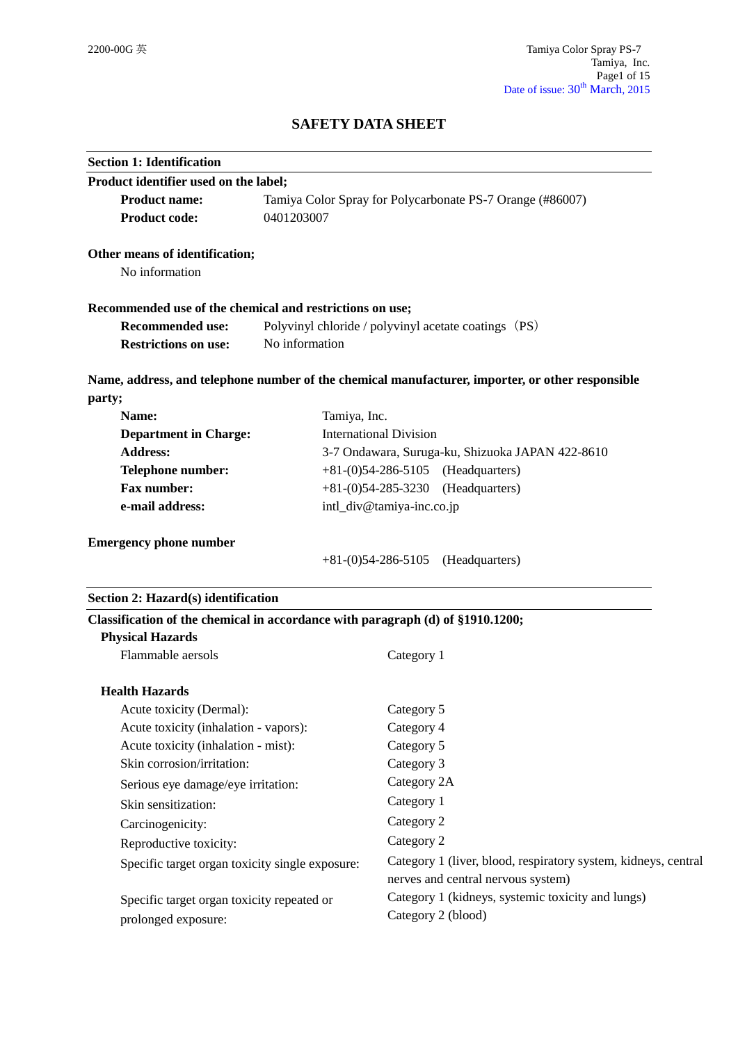# **SAFETY DATA SHEET**

| <b>Section 1: Identification</b>                                               |                |                                                                                                  |
|--------------------------------------------------------------------------------|----------------|--------------------------------------------------------------------------------------------------|
| Product identifier used on the label;                                          |                |                                                                                                  |
| <b>Product name:</b>                                                           |                | Tamiya Color Spray for Polycarbonate PS-7 Orange (#86007)                                        |
| <b>Product code:</b>                                                           | 0401203007     |                                                                                                  |
| Other means of identification;                                                 |                |                                                                                                  |
| No information                                                                 |                |                                                                                                  |
| Recommended use of the chemical and restrictions on use;                       |                |                                                                                                  |
| <b>Recommended use:</b>                                                        |                | Polyvinyl chloride / polyvinyl acetate coatings (PS)                                             |
| <b>Restrictions on use:</b>                                                    | No information |                                                                                                  |
|                                                                                |                | Name, address, and telephone number of the chemical manufacturer, importer, or other responsible |
| party;                                                                         |                |                                                                                                  |
| Name:                                                                          | Tamiya, Inc.   |                                                                                                  |
| <b>Department in Charge:</b>                                                   |                | <b>International Division</b>                                                                    |
| <b>Address:</b>                                                                |                | 3-7 Ondawara, Suruga-ku, Shizuoka JAPAN 422-8610                                                 |
| Telephone number:                                                              |                | $+81-(0)54-286-5105$ (Headquarters)                                                              |
| <b>Fax number:</b><br>$+81-(0)54-285-3230$<br>(Headquarters)                   |                |                                                                                                  |
| e-mail address:                                                                |                | intl_div@tamiya-inc.co.jp                                                                        |
| <b>Emergency phone number</b>                                                  |                |                                                                                                  |
|                                                                                |                | $+81-(0)54-286-5105$ (Headquarters)                                                              |
| Section 2: Hazard(s) identification                                            |                |                                                                                                  |
| Classification of the chemical in accordance with paragraph (d) of §1910.1200; |                |                                                                                                  |
| <b>Physical Hazards</b><br>Flammable aersols                                   |                | Category 1                                                                                       |
|                                                                                |                |                                                                                                  |
| <b>Health Hazards</b>                                                          |                |                                                                                                  |
| Acute toxicity (Dermal):                                                       |                | Category 5                                                                                       |
| Acute toxicity (inhalation - vapors):                                          |                | Category 4                                                                                       |
| Acute toxicity (inhalation - mist):<br>Skin corrosion/irritation:              |                | Category 5<br>Category 3                                                                         |
|                                                                                |                | Category 2A                                                                                      |
| Serious eye damage/eye irritation:                                             |                | Category 1                                                                                       |
| Skin sensitization:                                                            |                | Category 2                                                                                       |
| Carcinogenicity:                                                               |                |                                                                                                  |
| Reproductive toxicity:                                                         |                | Category 2                                                                                       |
| Specific target organ toxicity single exposure:                                |                | Category 1 (liver, blood, respiratory system, kidneys, central                                   |
|                                                                                |                | nerves and central nervous system)                                                               |
| Specific target organ toxicity repeated or                                     |                | Category 1 (kidneys, systemic toxicity and lungs)                                                |
| prolonged exposure:                                                            |                | Category 2 (blood)                                                                               |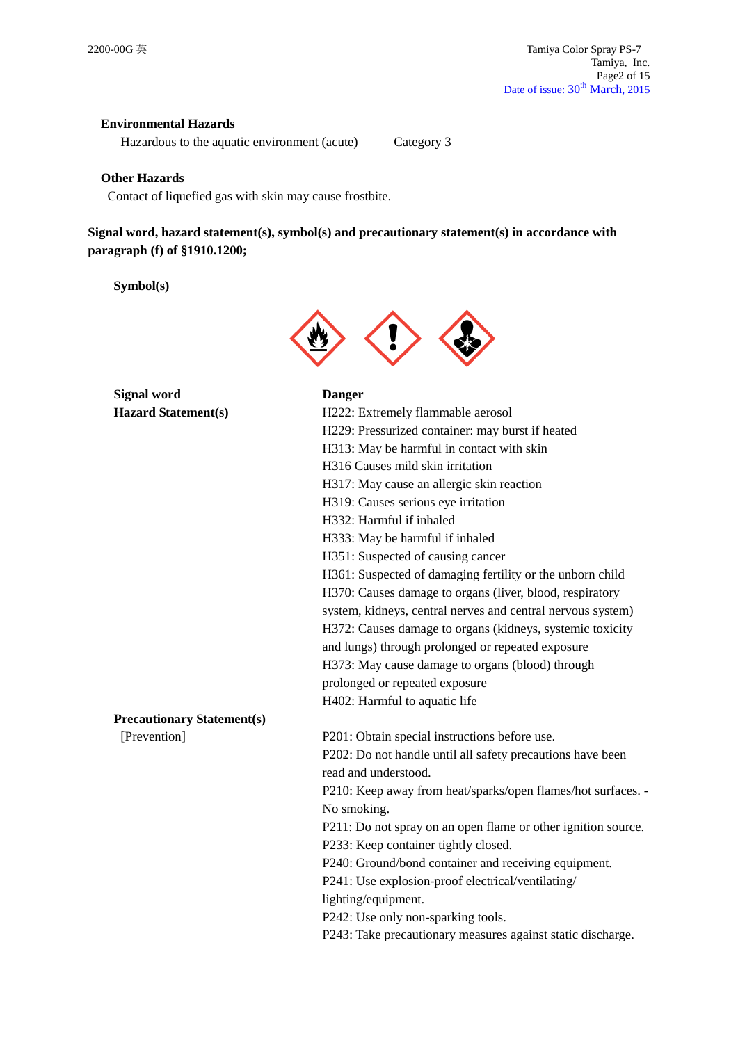## **Environmental Hazards**

Hazardous to the aquatic environment (acute) Category 3

#### **Other Hazards**

Contact of liquefied gas with skin may cause frostbite.

## **Signal word, hazard statement(s), symbol(s) and precautionary statement(s) in accordance with paragraph (f) of §1910.1200;**

#### **Symbol(s)**



**Signal word Danger Hazard Sta** 

| <b>Hazard Statement(s)</b>        | H222: Extremely flammable aerosol                             |
|-----------------------------------|---------------------------------------------------------------|
|                                   | H229: Pressurized container: may burst if heated              |
|                                   | H313: May be harmful in contact with skin                     |
|                                   | H316 Causes mild skin irritation                              |
|                                   | H317: May cause an allergic skin reaction                     |
|                                   | H319: Causes serious eye irritation                           |
|                                   | H332: Harmful if inhaled                                      |
|                                   | H333: May be harmful if inhaled                               |
|                                   | H351: Suspected of causing cancer                             |
|                                   | H361: Suspected of damaging fertility or the unborn child     |
|                                   | H370: Causes damage to organs (liver, blood, respiratory      |
|                                   | system, kidneys, central nerves and central nervous system)   |
|                                   | H372: Causes damage to organs (kidneys, systemic toxicity     |
|                                   | and lungs) through prolonged or repeated exposure             |
|                                   | H373: May cause damage to organs (blood) through              |
|                                   | prolonged or repeated exposure                                |
|                                   | H402: Harmful to aquatic life                                 |
| <b>Precautionary Statement(s)</b> |                                                               |
| [Prevention]                      | P201: Obtain special instructions before use.                 |
|                                   | P202: Do not handle until all safety precautions have been    |
|                                   | read and understood.                                          |
|                                   | P210: Keep away from heat/sparks/open flames/hot surfaces. -  |
|                                   | No smoking.                                                   |
|                                   | P211: Do not spray on an open flame or other ignition source. |
|                                   | P233: Keep container tightly closed.                          |
|                                   | P240: Ground/bond container and receiving equipment.          |
|                                   | P241: Use explosion-proof electrical/ventilating/             |
|                                   | lighting/equipment.                                           |
|                                   | P242: Use only non-sparking tools.                            |
|                                   | P243: Take precautionary measures against static discharge.   |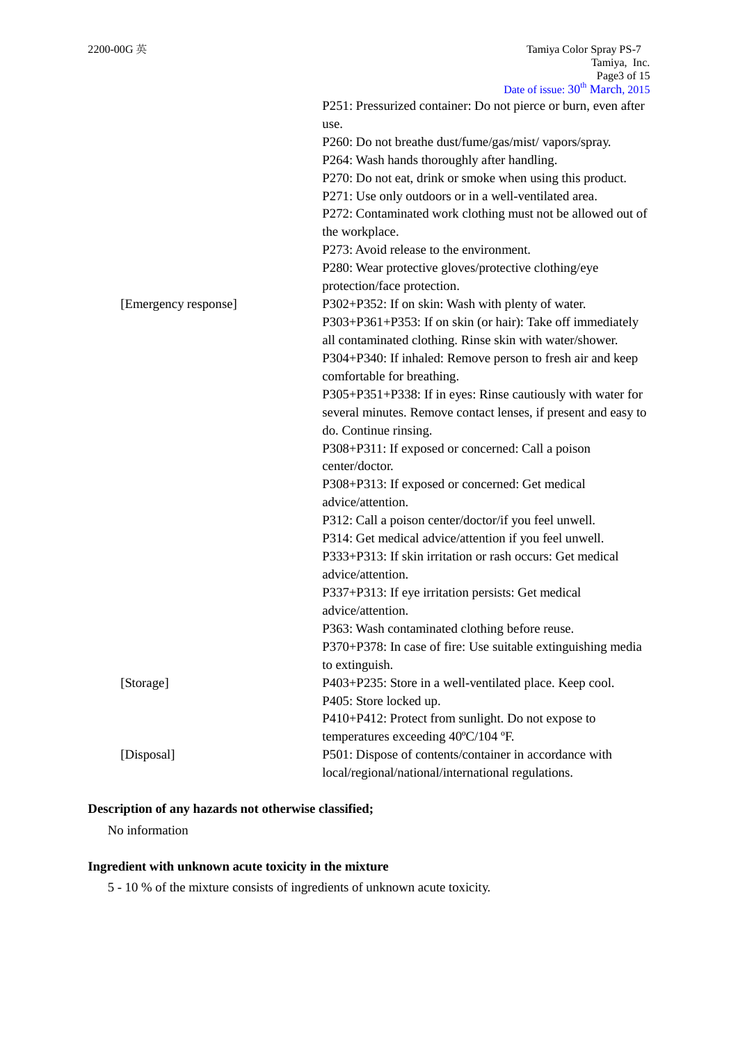|                      | Date of issue: 30 March, 2015                                       |
|----------------------|---------------------------------------------------------------------|
|                      | P251: Pressurized container: Do not pierce or burn, even after      |
|                      | use.                                                                |
|                      | P260: Do not breathe dust/fume/gas/mist/ vapors/spray.              |
|                      | P264: Wash hands thoroughly after handling.                         |
|                      | P270: Do not eat, drink or smoke when using this product.           |
|                      | P271: Use only outdoors or in a well-ventilated area.               |
|                      | P272: Contaminated work clothing must not be allowed out of         |
|                      | the workplace.                                                      |
|                      | P273: Avoid release to the environment.                             |
|                      | P280: Wear protective gloves/protective clothing/eye                |
|                      | protection/face protection.                                         |
| [Emergency response] | P302+P352: If on skin: Wash with plenty of water.                   |
|                      | P303+P361+P353: If on skin (or hair): Take off immediately          |
|                      | all contaminated clothing. Rinse skin with water/shower.            |
|                      | P304+P340: If inhaled: Remove person to fresh air and keep          |
|                      | comfortable for breathing.                                          |
|                      | P305+P351+P338: If in eyes: Rinse cautiously with water for         |
|                      | several minutes. Remove contact lenses, if present and easy to      |
|                      |                                                                     |
|                      | do. Continue rinsing.                                               |
|                      | P308+P311: If exposed or concerned: Call a poison<br>center/doctor. |
|                      |                                                                     |
|                      | P308+P313: If exposed or concerned: Get medical                     |
|                      | advice/attention.                                                   |
|                      | P312: Call a poison center/doctor/if you feel unwell.               |
|                      | P314: Get medical advice/attention if you feel unwell.              |
|                      | P333+P313: If skin irritation or rash occurs: Get medical           |
|                      | advice/attention.                                                   |
|                      | P337+P313: If eye irritation persists: Get medical                  |
|                      | advice/attention.                                                   |
|                      | P363: Wash contaminated clothing before reuse.                      |
|                      | P370+P378: In case of fire: Use suitable extinguishing media        |
|                      | to extinguish.                                                      |
| [Storage]            | P403+P235: Store in a well-ventilated place. Keep cool.             |
|                      | P405: Store locked up.                                              |
|                      | P410+P412: Protect from sunlight. Do not expose to                  |
|                      | temperatures exceeding 40°C/104 °F.                                 |
| [Disposal]           | P501: Dispose of contents/container in accordance with              |
|                      | local/regional/national/international regulations.                  |

## **Description of any hazards not otherwise classified;**

No information

# **Ingredient with unknown acute toxicity in the mixture**

5 - 10 % of the mixture consists of ingredients of unknown acute toxicity.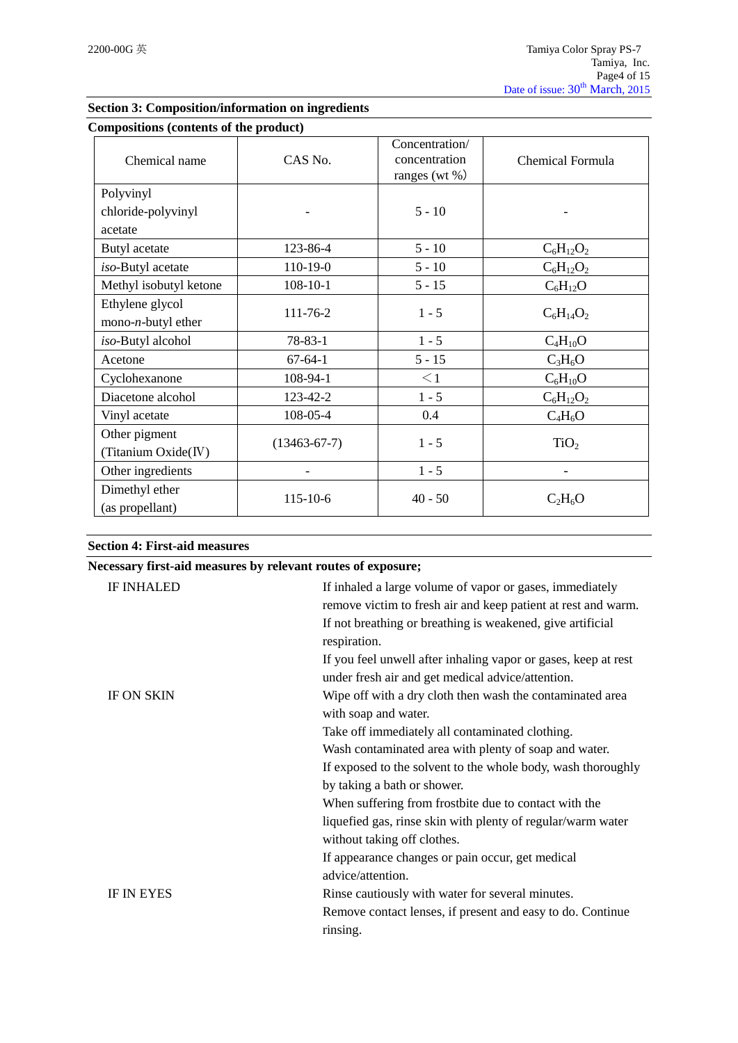| <b>Compositions (contents of the product)</b> |                    |                                                      |                  |
|-----------------------------------------------|--------------------|------------------------------------------------------|------------------|
| Chemical name                                 | CAS No.            | Concentration/<br>concentration<br>ranges (wt $\%$ ) | Chemical Formula |
| Polyvinyl                                     |                    |                                                      |                  |
| chloride-polyvinyl                            |                    | $5 - 10$                                             |                  |
| acetate                                       |                    |                                                      |                  |
| Butyl acetate                                 | 123-86-4           | $5 - 10$                                             | $C_6H_{12}O_2$   |
| iso-Butyl acetate                             | $110-19-0$         | $5 - 10$                                             | $C_6H_{12}O_2$   |
| Methyl isobutyl ketone                        | $108 - 10 - 1$     | $5 - 15$                                             | $C_6H_{12}O$     |
| Ethylene glycol<br>mono- $n$ -butyl ether     | 111-76-2           | $1 - 5$                                              | $C_6H_{14}O_2$   |
| iso-Butyl alcohol                             | 78-83-1            | $1 - 5$                                              | $C_4H_{10}O$     |
| Acetone                                       | $67 - 64 - 1$      | $5 - 15$                                             | $C_3H_6O$        |
| Cyclohexanone                                 | 108-94-1           | $\leq$ 1                                             | $C_6H_{10}O$     |
| Diacetone alcohol                             | 123-42-2           | $1 - 5$                                              | $C_6H_{12}O_2$   |
| Vinyl acetate                                 | 108-05-4           | 0.4                                                  | $C_4H_6O$        |
| Other pigment<br>(Titanium Oxide(IV)          | $(13463 - 67 - 7)$ | $1 - 5$                                              | TiO <sub>2</sub> |
| Other ingredients                             |                    | $1 - 5$                                              | Ē,               |
| Dimethyl ether<br>(as propellant)             | 115-10-6           | $40 - 50$                                            | $C_2H_6O$        |

## **Section 3: Composition/information on ingredients**

# **Necessary first-aid measures by relevant routes of exposure;** IF INHALED If inhaled a large volume of vapor or gases, immediately remove victim to fresh air and keep patient at rest and warm. If not breathing or breathing is weakened, give artificial respiration. If you feel unwell after inhaling vapor or gases, keep at rest under fresh air and get medical advice/attention. IF ON SKIN Wipe off with a dry cloth then wash the contaminated area with soap and water. Take off immediately all contaminated clothing. Wash contaminated area with plenty of soap and water. If exposed to the solvent to the whole body, wash thoroughly by taking a bath or shower. When suffering from frostbite due to contact with the liquefied gas, rinse skin with plenty of regular/warm water without taking off clothes.

IF IN EYES

**Section 4: First-aid measures**

| advice/attention.                                          |
|------------------------------------------------------------|
| Rinse cautiously with water for several minutes.           |
| Remove contact lenses, if present and easy to do. Continue |
| rinsing.                                                   |

If appearance changes or pain occur, get medical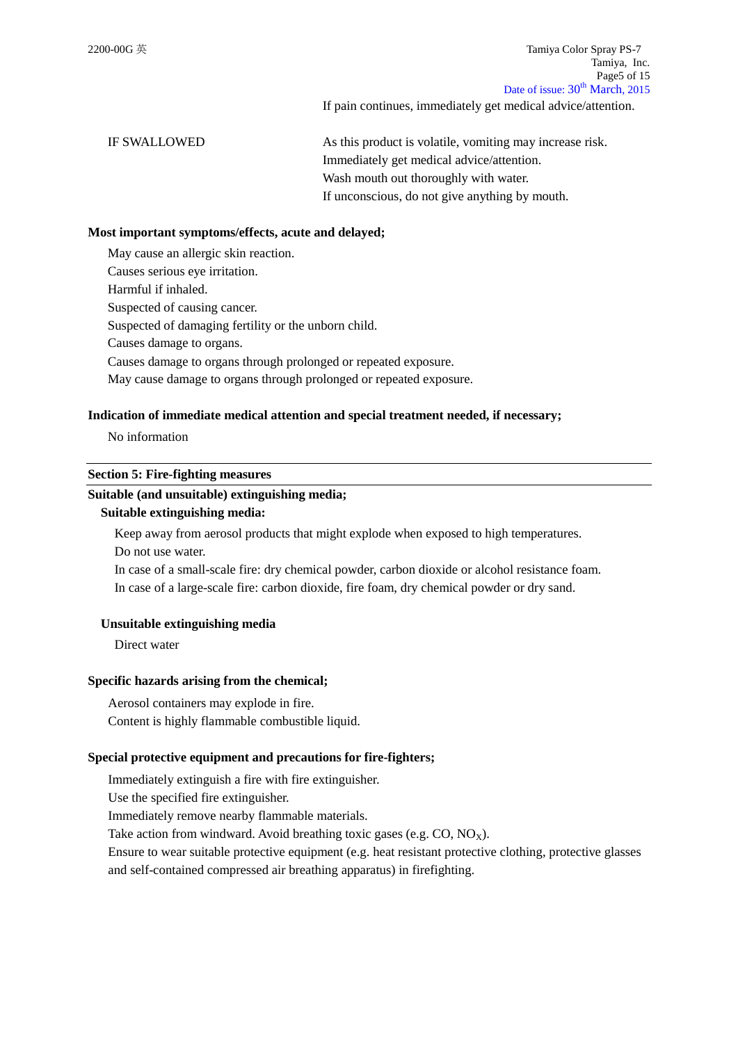2200-00G 英 Tamiya Color Spray PS-7 Tamiya, Inc. Page5 of 15 Date of issue:  $30^{th}$  March, 2015

If pain continues, immediately get medical advice/attention.

IF SWALLOWED As this product is volatile, vomiting may increase risk. Immediately get medical advice/attention. Wash mouth out thoroughly with water. If unconscious, do not give anything by mouth.

#### **Most important symptoms/effects, acute and delayed;**

May cause an allergic skin reaction.

Causes serious eye irritation.

Harmful if inhaled.

Suspected of causing cancer.

Suspected of damaging fertility or the unborn child.

Causes damage to organs.

Causes damage to organs through prolonged or repeated exposure.

May cause damage to organs through prolonged or repeated exposure.

#### **Indication of immediate medical attention and special treatment needed, if necessary;**

No information

#### **Section 5: Fire-fighting measures**

## **Suitable (and unsuitable) extinguishing media;**

#### **Suitable extinguishing media:**

Keep away from aerosol products that might explode when exposed to high temperatures.

Do not use water.

In case of a small-scale fire: dry chemical powder, carbon dioxide or alcohol resistance foam. In case of a large-scale fire: carbon dioxide, fire foam, dry chemical powder or dry sand.

#### **Unsuitable extinguishing media**

Direct water

#### **Specific hazards arising from the chemical;**

Aerosol containers may explode in fire. Content is highly flammable combustible liquid.

#### **Special protective equipment and precautions for fire-fighters;**

Immediately extinguish a fire with fire extinguisher.

Use the specified fire extinguisher.

Immediately remove nearby flammable materials.

Take action from windward. Avoid breathing toxic gases (e.g.  $CO$ ,  $NO<sub>x</sub>$ ).

Ensure to wear suitable protective equipment (e.g. heat resistant protective clothing, protective glasses and self-contained compressed air breathing apparatus) in firefighting.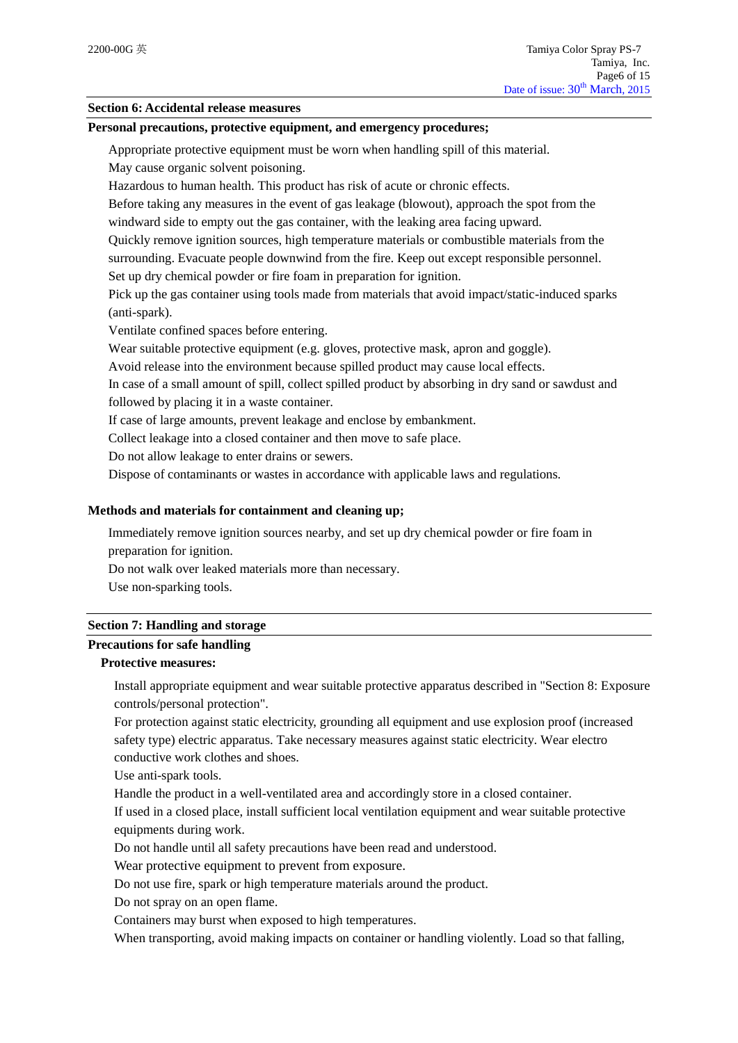#### **Section 6: Accidental release measures**

#### **Personal precautions, protective equipment, and emergency procedures;**

Appropriate protective equipment must be worn when handling spill of this material.

May cause organic solvent poisoning.

Hazardous to human health. This product has risk of acute or chronic effects.

Before taking any measures in the event of gas leakage (blowout), approach the spot from the windward side to empty out the gas container, with the leaking area facing upward.

Quickly remove ignition sources, high temperature materials or combustible materials from the surrounding. Evacuate people downwind from the fire. Keep out except responsible personnel.

Set up dry chemical powder or fire foam in preparation for ignition.

Pick up the gas container using tools made from materials that avoid impact/static-induced sparks (anti-spark).

Ventilate confined spaces before entering.

Wear suitable protective equipment (e.g. gloves, protective mask, apron and goggle).

Avoid release into the environment because spilled product may cause local effects.

In case of a small amount of spill, collect spilled product by absorbing in dry sand or sawdust and followed by placing it in a waste container.

If case of large amounts, prevent leakage and enclose by embankment.

Collect leakage into a closed container and then move to safe place.

Do not allow leakage to enter drains or sewers.

Dispose of contaminants or wastes in accordance with applicable laws and regulations.

#### **Methods and materials for containment and cleaning up;**

Immediately remove ignition sources nearby, and set up dry chemical powder or fire foam in preparation for ignition.

Do not walk over leaked materials more than necessary.

Use non-sparking tools.

#### **Section 7: Handling and storage**

### **Precautions for safe handling**

## **Protective measures:**

Install appropriate equipment and wear suitable protective apparatus described in "Section 8: Exposure controls/personal protection".

For protection against static electricity, grounding all equipment and use explosion proof (increased safety type) electric apparatus. Take necessary measures against static electricity. Wear electro conductive work clothes and shoes.

Use anti-spark tools.

Handle the product in a well-ventilated area and accordingly store in a closed container.

If used in a closed place, install sufficient local ventilation equipment and wear suitable protective equipments during work.

Do not handle until all safety precautions have been read and understood.

Wear protective equipment to prevent from exposure.

Do not use fire, spark or high temperature materials around the product.

Do not spray on an open flame.

Containers may burst when exposed to high temperatures.

When transporting, avoid making impacts on container or handling violently. Load so that falling,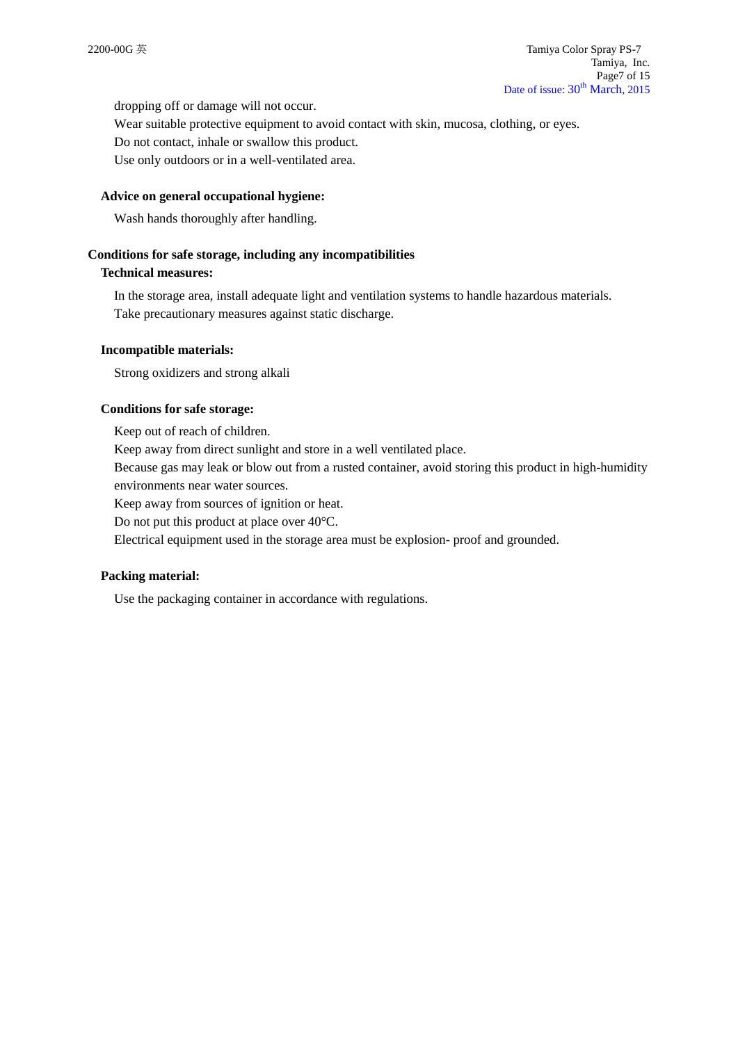dropping off or damage will not occur.

Wear suitable protective equipment to avoid contact with skin, mucosa, clothing, or eyes. Do not contact, inhale or swallow this product.

Use only outdoors or in a well-ventilated area.

#### **Advice on general occupational hygiene:**

Wash hands thoroughly after handling.

#### **Conditions for safe storage, including any incompatibilities**

#### **Technical measures:**

In the storage area, install adequate light and ventilation systems to handle hazardous materials. Take precautionary measures against static discharge.

#### **Incompatible materials:**

Strong oxidizers and strong alkali

#### **Conditions for safe storage:**

Keep out of reach of children. Keep away from direct sunlight and store in a well ventilated place. Because gas may leak or blow out from a rusted container, avoid storing this product in high-humidity environments near water sources.

Keep away from sources of ignition or heat.

Do not put this product at place over 40°C.

Electrical equipment used in the storage area must be explosion- proof and grounded.

#### **Packing material:**

Use the packaging container in accordance with regulations.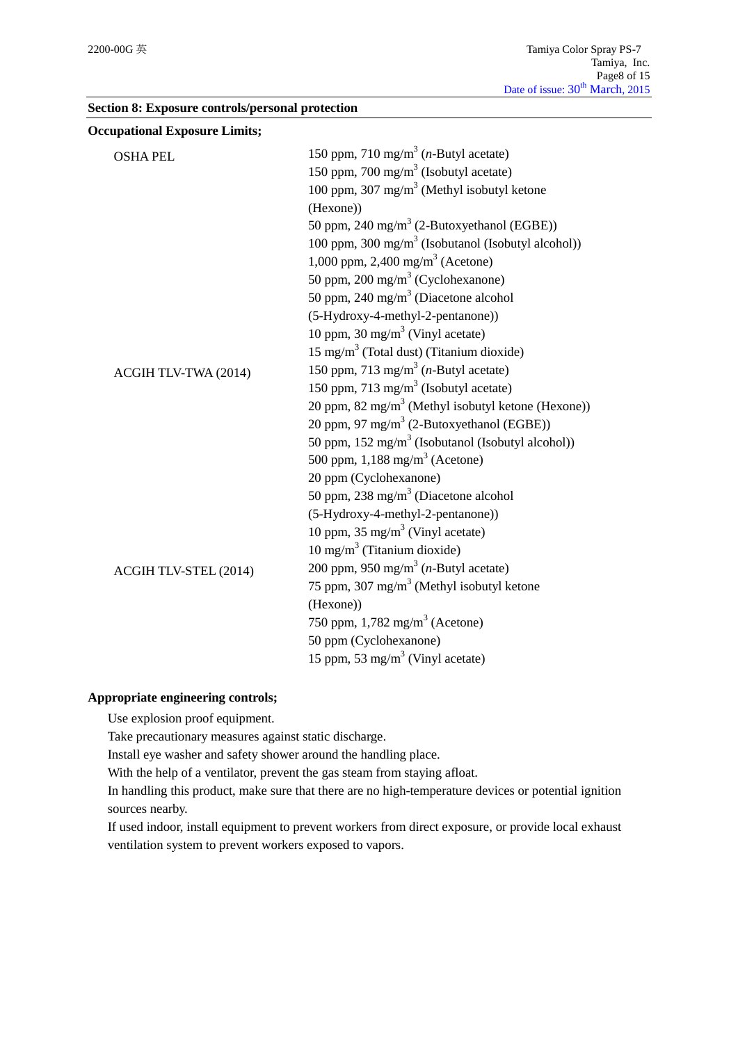|  |  | Section 8: Exposure controls/personal protection |  |  |
|--|--|--------------------------------------------------|--|--|
|--|--|--------------------------------------------------|--|--|

| <b>Occupational Exposure Limits;</b> |                                                                |
|--------------------------------------|----------------------------------------------------------------|
| <b>OSHA PEL</b>                      | 150 ppm, 710 mg/m <sup>3</sup> ( <i>n</i> -Butyl acetate)      |
|                                      | 150 ppm, 700 mg/m <sup>3</sup> (Isobutyl acetate)              |
|                                      | 100 ppm, 307 mg/m <sup>3</sup> (Methyl isobutyl ketone         |
|                                      | (Hexone))                                                      |
|                                      | 50 ppm, 240 mg/m <sup>3</sup> (2-Butoxyethanol (EGBE))         |
|                                      | 100 ppm, 300 mg/m <sup>3</sup> (Isobutanol (Isobutyl alcohol)) |
|                                      | 1,000 ppm, 2,400 mg/m <sup>3</sup> (Acetone)                   |
|                                      | 50 ppm, 200 mg/m <sup>3</sup> (Cyclohexanone)                  |
|                                      | 50 ppm, 240 mg/m <sup>3</sup> (Diacetone alcohol               |
|                                      | (5-Hydroxy-4-methyl-2-pentanone))                              |
|                                      | 10 ppm, 30 mg/m <sup>3</sup> (Vinyl acetate)                   |
|                                      | $15 \text{ mg/m}^3$ (Total dust) (Titanium dioxide)            |
| ACGIH TLV-TWA (2014)                 | 150 ppm, 713 mg/m <sup>3</sup> ( <i>n</i> -Butyl acetate)      |
|                                      | 150 ppm, 713 mg/m <sup>3</sup> (Isobutyl acetate)              |
|                                      | 20 ppm, 82 mg/m <sup>3</sup> (Methyl isobutyl ketone (Hexone)) |
|                                      | 20 ppm, 97 mg/m <sup>3</sup> (2-Butoxyethanol (EGBE))          |
|                                      | 50 ppm, $152 \text{ mg/m}^3$ (Isobutanol (Isobutyl alcohol))   |
|                                      | 500 ppm, $1,188$ mg/m <sup>3</sup> (Acetone)                   |
|                                      | 20 ppm (Cyclohexanone)                                         |
|                                      | 50 ppm, 238 mg/m <sup>3</sup> (Diacetone alcohol               |
|                                      | (5-Hydroxy-4-methyl-2-pentanone))                              |
|                                      | 10 ppm, $35 \text{ mg/m}^3$ (Vinyl acetate)                    |
|                                      | $10 \text{ mg/m}^3$ (Titanium dioxide)                         |
| ACGIH TLV-STEL (2014)                | 200 ppm, 950 mg/m <sup>3</sup> ( <i>n</i> -Butyl acetate)      |
|                                      | 75 ppm, 307 mg/m <sup>3</sup> (Methyl isobutyl ketone          |
|                                      | (Hexone))                                                      |
|                                      | 750 ppm, $1,782 \text{ mg/m}^3$ (Acetone)                      |
|                                      | 50 ppm (Cyclohexanone)                                         |
|                                      | 15 ppm, 53 mg/m <sup>3</sup> (Vinyl acetate)                   |

#### **Appropriate engineering controls;**

Use explosion proof equipment.

Take precautionary measures against static discharge.

Install eye washer and safety shower around the handling place.

With the help of a ventilator, prevent the gas steam from staying afloat.

In handling this product, make sure that there are no high-temperature devices or potential ignition sources nearby.

If used indoor, install equipment to prevent workers from direct exposure, or provide local exhaust ventilation system to prevent workers exposed to vapors.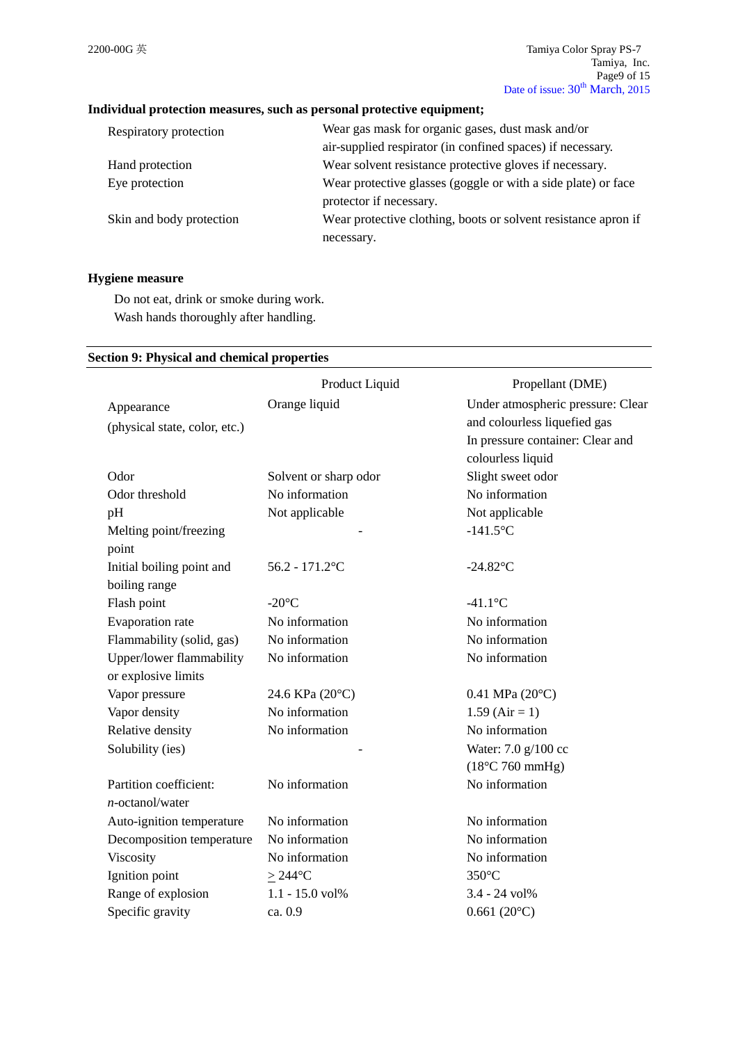## **Individual protection measures, such as personal protective equipment;**

| Wear gas mask for organic gases, dust mask and/or              |
|----------------------------------------------------------------|
| air-supplied respirator (in confined spaces) if necessary.     |
| Wear solvent resistance protective gloves if necessary.        |
| Wear protective glasses (goggle or with a side plate) or face  |
| protector if necessary.                                        |
| Wear protective clothing, boots or solvent resistance apron if |
| necessary.                                                     |
|                                                                |

## **Hygiene measure**

Do not eat, drink or smoke during work. Wash hands thoroughly after handling.

#### **Section 9: Physical and chemical properties**

|                               | Product Liquid        | Propellant (DME)                  |
|-------------------------------|-----------------------|-----------------------------------|
| Appearance                    | Orange liquid         | Under atmospheric pressure: Clear |
| (physical state, color, etc.) |                       | and colourless liquefied gas      |
|                               |                       | In pressure container: Clear and  |
|                               |                       | colourless liquid                 |
| Odor                          | Solvent or sharp odor | Slight sweet odor                 |
| Odor threshold                | No information        | No information                    |
| pH                            | Not applicable        | Not applicable                    |
| Melting point/freezing        |                       | $-141.5$ °C                       |
| point                         |                       |                                   |
| Initial boiling point and     | $56.2 - 171.2$ °C     | $-24.82$ °C                       |
| boiling range                 |                       |                                   |
| Flash point                   | $-20^{\circ}$ C       | $-41.1$ °C                        |
| Evaporation rate              | No information        | No information                    |
| Flammability (solid, gas)     | No information        | No information                    |
| Upper/lower flammability      | No information        | No information                    |
| or explosive limits           |                       |                                   |
| Vapor pressure                | 24.6 KPa (20°C)       | $0.41$ MPa $(20^{\circ}C)$        |
| Vapor density                 | No information        | $1.59$ (Air = 1)                  |
| Relative density              | No information        | No information                    |
| Solubility (ies)              |                       | Water: 7.0 g/100 cc               |
|                               |                       | $(18^{\circ}C 760$ mmHg)          |
| Partition coefficient:        | No information        | No information                    |
| $n$ -octanol/water            |                       |                                   |
| Auto-ignition temperature     | No information        | No information                    |
| Decomposition temperature     | No information        | No information                    |
| Viscosity                     | No information        | No information                    |
| Ignition point                | $>244^{\circ}$ C      | 350°C                             |
| Range of explosion            | $1.1 - 15.0$ vol%     | 3.4 - 24 vol%                     |
| Specific gravity              | ca. 0.9               | $0.661(20^{\circ}C)$              |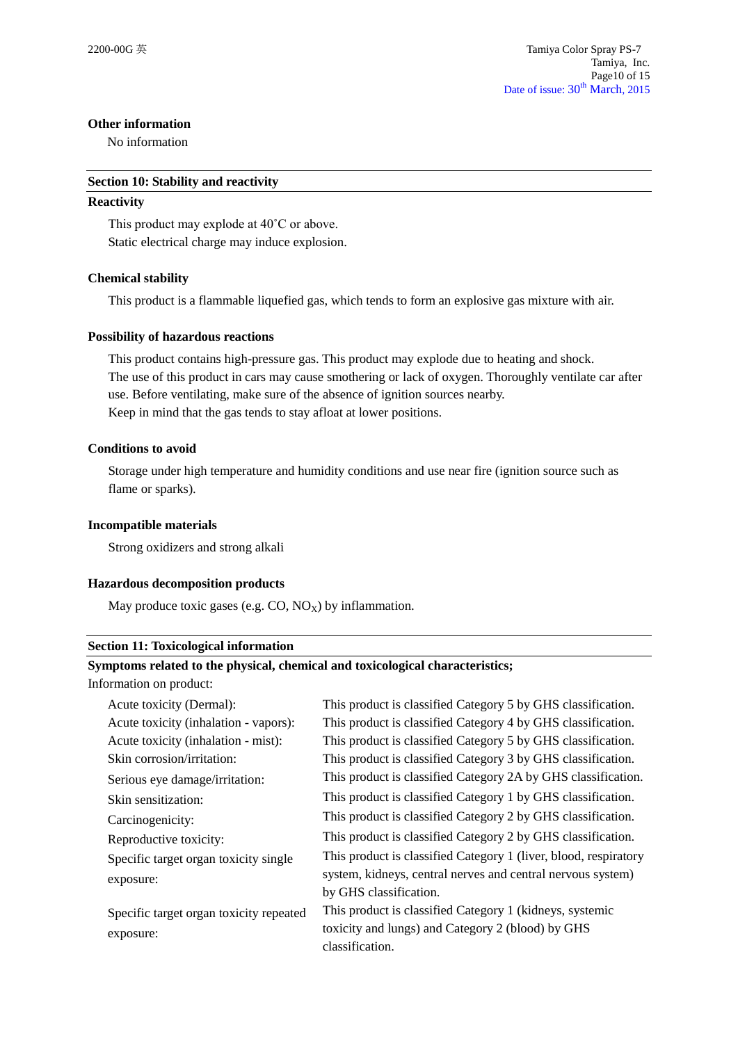#### **Other information**

No information

#### **Section 10: Stability and reactivity**

#### **Reactivity**

This product may explode at 40˚C or above. Static electrical charge may induce explosion.

#### **Chemical stability**

This product is a flammable liquefied gas, which tends to form an explosive gas mixture with air.

#### **Possibility of hazardous reactions**

This product contains high-pressure gas. This product may explode due to heating and shock. The use of this product in cars may cause smothering or lack of oxygen. Thoroughly ventilate car after use. Before ventilating, make sure of the absence of ignition sources nearby. Keep in mind that the gas tends to stay afloat at lower positions.

#### **Conditions to avoid**

Storage under high temperature and humidity conditions and use near fire (ignition source such as flame or sparks).

#### **Incompatible materials**

Strong oxidizers and strong alkali

#### **Hazardous decomposition products**

May produce toxic gases (e.g.  $CO$ ,  $NO_X$ ) by inflammation.

#### **Section 11: Toxicological information**

#### **Symptoms related to the physical, chemical and toxicological characteristics;**

Information on product:

| Acute toxicity (Dermal):                | This product is classified Category 5 by GHS classification.     |
|-----------------------------------------|------------------------------------------------------------------|
| Acute toxicity (inhalation - vapors):   | This product is classified Category 4 by GHS classification.     |
| Acute toxicity (inhalation - mist):     | This product is classified Category 5 by GHS classification.     |
| Skin corrosion/irritation:              | This product is classified Category 3 by GHS classification.     |
| Serious eye damage/irritation:          | This product is classified Category 2A by GHS classification.    |
| Skin sensitization:                     | This product is classified Category 1 by GHS classification.     |
| Carcinogenicity:                        | This product is classified Category 2 by GHS classification.     |
| Reproductive toxicity:                  | This product is classified Category 2 by GHS classification.     |
| Specific target organ toxicity single   | This product is classified Category 1 (liver, blood, respiratory |
| exposure:                               | system, kidneys, central nerves and central nervous system)      |
|                                         | by GHS classification.                                           |
| Specific target organ toxicity repeated | This product is classified Category 1 (kidneys, systemic         |
| exposure:                               | toxicity and lungs) and Category 2 (blood) by GHS                |
|                                         | classification.                                                  |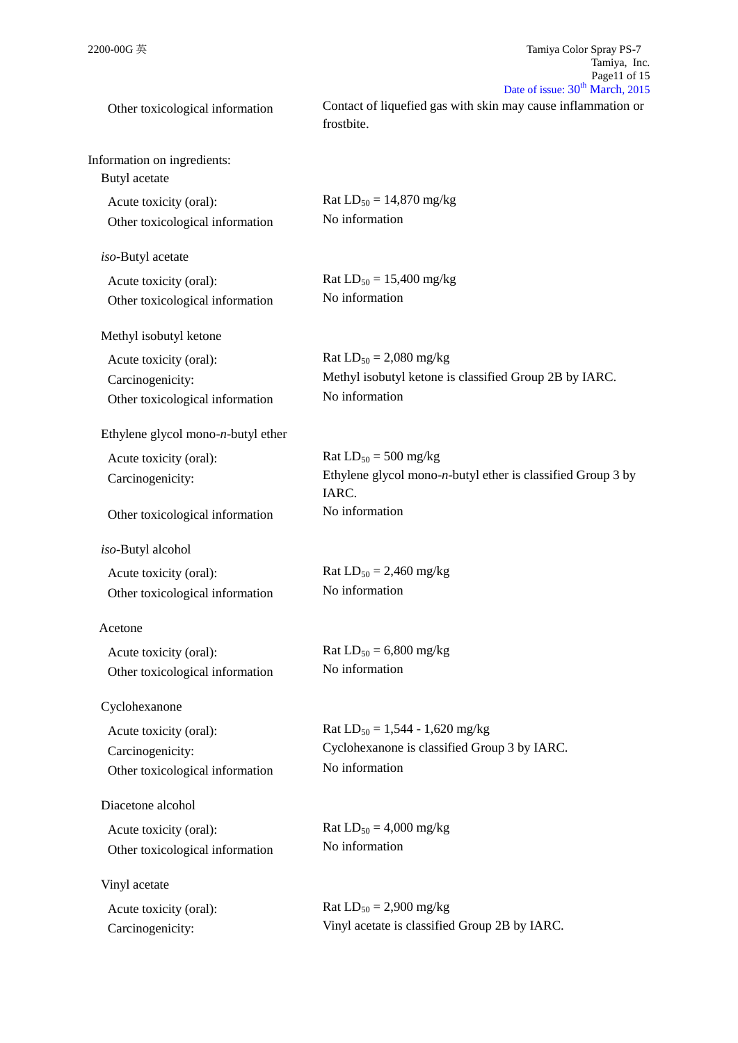| Other toxicological information                                               | Date of $\sum_{n=1}^{\infty}$ $\sum_{n=1}^{\infty}$<br>Contact of liquefied gas with skin may cause inflammation or<br>frostbite. |
|-------------------------------------------------------------------------------|-----------------------------------------------------------------------------------------------------------------------------------|
| Information on ingredients:<br>Butyl acetate                                  |                                                                                                                                   |
| Acute toxicity (oral):<br>Other toxicological information                     | Rat $LD_{50} = 14,870$ mg/kg<br>No information                                                                                    |
| iso-Butyl acetate                                                             |                                                                                                                                   |
| Acute toxicity (oral):<br>Other toxicological information                     | Rat $LD_{50} = 15,400$ mg/kg<br>No information                                                                                    |
| Methyl isobutyl ketone                                                        |                                                                                                                                   |
| Acute toxicity (oral):<br>Carcinogenicity:<br>Other toxicological information | Rat $LD_{50} = 2,080$ mg/kg<br>Methyl isobutyl ketone is classified Group 2B by IARC.<br>No information                           |
| Ethylene glycol mono- $n$ -butyl ether                                        |                                                                                                                                   |
| Acute toxicity (oral):<br>Carcinogenicity:                                    | Rat $LD_{50} = 500$ mg/kg<br>Ethylene glycol mono- $n$ -butyl ether is classified Group 3 by<br>IARC.                             |
| Other toxicological information                                               | No information                                                                                                                    |
| iso-Butyl alcohol                                                             |                                                                                                                                   |
| Acute toxicity (oral):<br>Other toxicological information                     | Rat $LD_{50} = 2,460$ mg/kg<br>No information                                                                                     |
| Acetone                                                                       |                                                                                                                                   |
| Acute toxicity (oral):<br>Other toxicological information                     | Rat $LD_{50} = 6,800$ mg/kg<br>No information                                                                                     |
| Cyclohexanone                                                                 |                                                                                                                                   |
| Acute toxicity (oral):<br>Carcinogenicity:<br>Other toxicological information | Rat $LD_{50} = 1,544 - 1,620$ mg/kg<br>Cyclohexanone is classified Group 3 by IARC.<br>No information                             |
| Diacetone alcohol                                                             |                                                                                                                                   |
| Acute toxicity (oral):<br>Other toxicological information                     | Rat $LD_{50} = 4,000$ mg/kg<br>No information                                                                                     |
| Vinyl acetate                                                                 |                                                                                                                                   |
| Acute toxicity (oral):<br>Carcinogenicity:                                    | Rat $LD_{50} = 2,900$ mg/kg<br>Vinyl acetate is classified Group 2B by IARC.                                                      |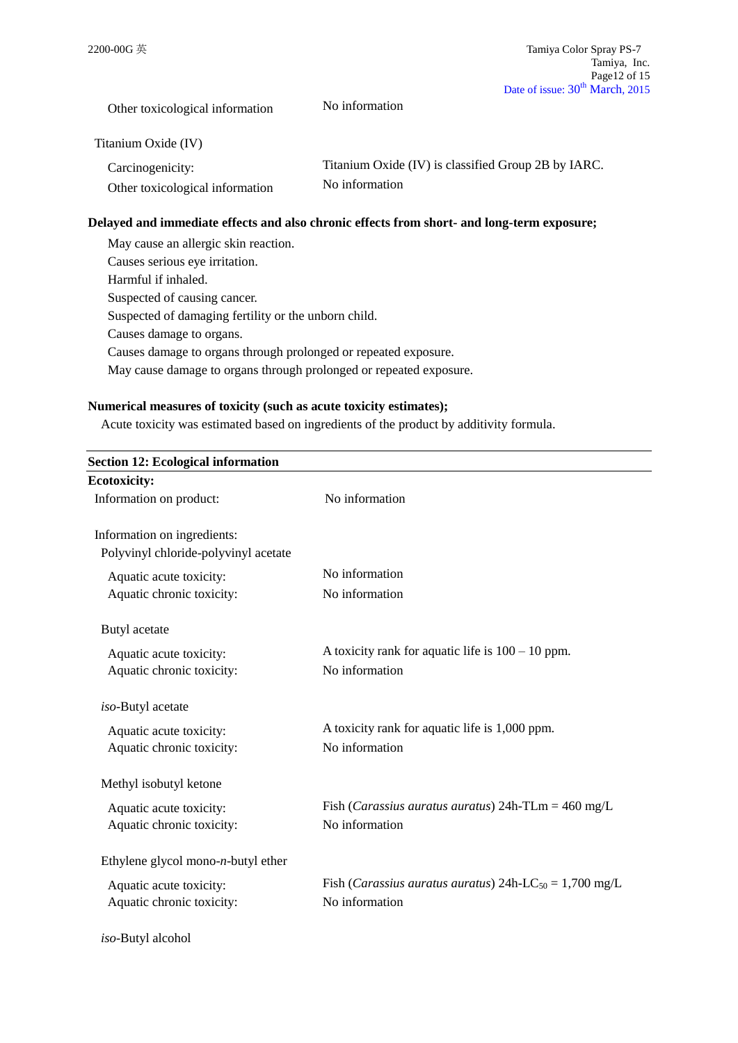Other toxicological information No information

Titanium Oxide (IV)

| Carcinogenicity:                | Titanium Oxide (IV) is classified Group 2B by IARC. |
|---------------------------------|-----------------------------------------------------|
| Other toxicological information | No information                                      |

#### **Delayed and immediate effects and also chronic effects from short- and long-term exposure;**

| May cause an allergic skin reaction.                               |
|--------------------------------------------------------------------|
| Causes serious eye irritation.                                     |
| Harmful if inhaled.                                                |
| Suspected of causing cancer.                                       |
| Suspected of damaging fertility or the unborn child.               |
| Causes damage to organs.                                           |
| Causes damage to organs through prolonged or repeated exposure.    |
| May cause damage to organs through prolonged or repeated exposure. |

#### **Numerical measures of toxicity (such as acute toxicity estimates);**

Acute toxicity was estimated based on ingredients of the product by additivity formula.

| <b>Section 12: Ecological information</b> |                                                                             |
|-------------------------------------------|-----------------------------------------------------------------------------|
| <b>Ecotoxicity:</b>                       |                                                                             |
| Information on product:                   | No information                                                              |
|                                           |                                                                             |
| Information on ingredients:               |                                                                             |
| Polyvinyl chloride-polyvinyl acetate      |                                                                             |
| Aquatic acute toxicity:                   | No information                                                              |
| Aquatic chronic toxicity:                 | No information                                                              |
| Butyl acetate                             |                                                                             |
| Aquatic acute toxicity:                   | A toxicity rank for aquatic life is $100 - 10$ ppm.                         |
| Aquatic chronic toxicity:                 | No information                                                              |
|                                           |                                                                             |
| iso-Butyl acetate                         |                                                                             |
| Aquatic acute toxicity:                   | A toxicity rank for aquatic life is 1,000 ppm.                              |
| Aquatic chronic toxicity:                 | No information                                                              |
| Methyl isobutyl ketone                    |                                                                             |
| Aquatic acute toxicity:                   | Fish ( <i>Carassius auratus auratus</i> ) $24h$ -TLm = $460 \text{ mg/L}$   |
| Aquatic chronic toxicity:                 | No information                                                              |
|                                           |                                                                             |
| Ethylene glycol mono- $n$ -butyl ether    |                                                                             |
| Aquatic acute toxicity:                   | Fish ( <i>Carassius auratus auratus</i> ) 24h-LC <sub>50</sub> = 1,700 mg/L |
| Aquatic chronic toxicity:                 | No information                                                              |
|                                           |                                                                             |
| iso-Butyl alcohol                         |                                                                             |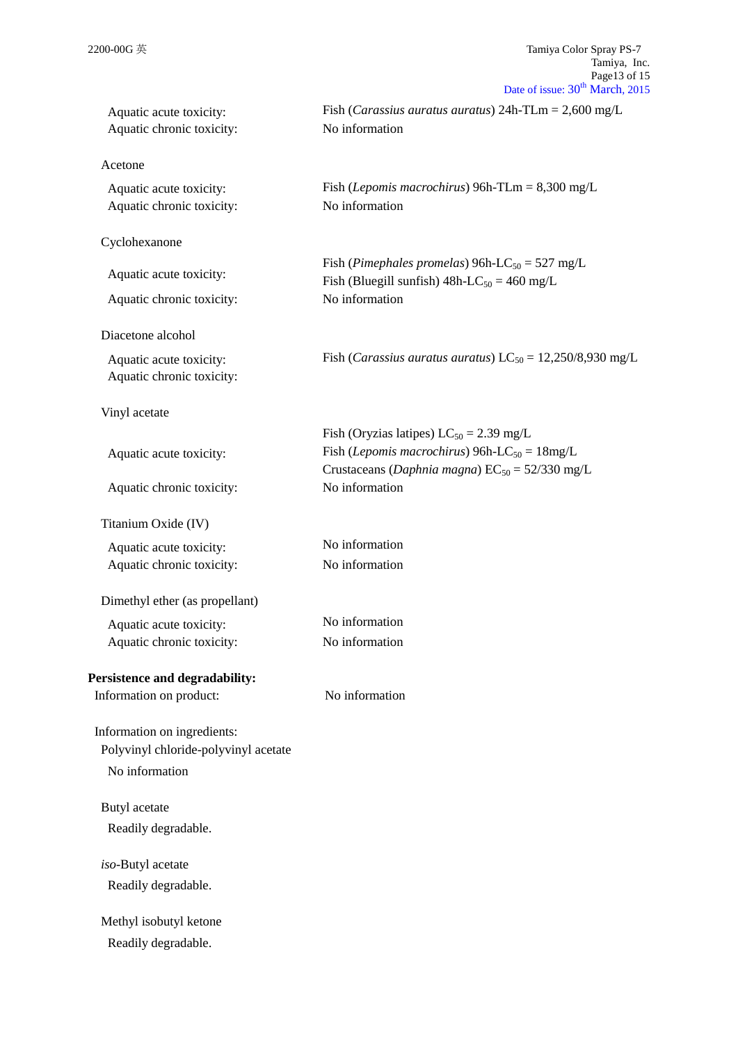| Aquatic acute toxicity:<br>Aquatic chronic toxicity: | Fish ( <i>Carassius auratus auratus</i> ) $24h$ -TLm = $2,600$ mg/L<br>No information                                                                                      |
|------------------------------------------------------|----------------------------------------------------------------------------------------------------------------------------------------------------------------------------|
| Acetone                                              |                                                                                                                                                                            |
| Aquatic acute toxicity:<br>Aquatic chronic toxicity: | Fish ( <i>Lepomis macrochirus</i> ) 96h-TLm = $8,300$ mg/L<br>No information                                                                                               |
| Cyclohexanone                                        |                                                                                                                                                                            |
| Aquatic acute toxicity:                              | Fish (Pimephales promelas) 96h-LC <sub>50</sub> = 527 mg/L<br>Fish (Bluegill sunfish) $48h$ -LC <sub>50</sub> = 460 mg/L                                                   |
| Aquatic chronic toxicity:                            | No information                                                                                                                                                             |
| Diacetone alcohol                                    |                                                                                                                                                                            |
| Aquatic acute toxicity:<br>Aquatic chronic toxicity: | Fish ( <i>Carassius auratus auratus</i> ) $LC_{50} = 12,250/8,930$ mg/L                                                                                                    |
| Vinyl acetate                                        |                                                                                                                                                                            |
| Aquatic acute toxicity:                              | Fish (Oryzias latipes) $LC_{50} = 2.39$ mg/L<br>Fish ( <i>Lepomis macrochirus</i> ) 96h-LC <sub>50</sub> = $18mg/L$<br>Crustaceans (Daphnia magna) $EC_{50} = 52/330$ mg/L |
| Aquatic chronic toxicity:                            | No information                                                                                                                                                             |
| Titanium Oxide (IV)                                  |                                                                                                                                                                            |
| Aquatic acute toxicity:<br>Aquatic chronic toxicity: | No information<br>No information                                                                                                                                           |
| Dimethyl ether (as propellant)                       |                                                                                                                                                                            |
| Aquatic acute toxicity:                              | No information                                                                                                                                                             |
| Aquatic chronic toxicity:                            | No information                                                                                                                                                             |
| Persistence and degradability:                       |                                                                                                                                                                            |
| Information on product:                              | No information                                                                                                                                                             |
| Information on ingredients:                          |                                                                                                                                                                            |
| Polyvinyl chloride-polyvinyl acetate                 |                                                                                                                                                                            |
| No information                                       |                                                                                                                                                                            |
| Butyl acetate                                        |                                                                                                                                                                            |
| Readily degradable.                                  |                                                                                                                                                                            |
| iso-Butyl acetate                                    |                                                                                                                                                                            |
| Readily degradable.                                  |                                                                                                                                                                            |
| Methyl isobutyl ketone                               |                                                                                                                                                                            |
| Readily degradable.                                  |                                                                                                                                                                            |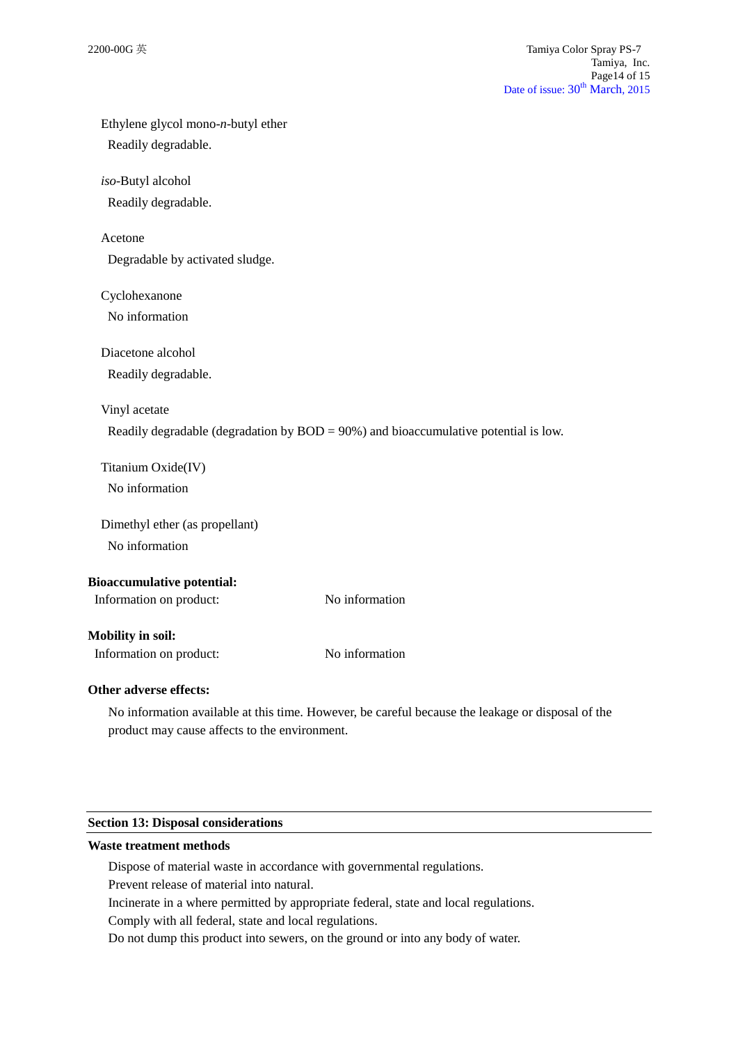| Ethylene glycol mono-n-butyl ether |                                                                                                   |
|------------------------------------|---------------------------------------------------------------------------------------------------|
| Readily degradable.                |                                                                                                   |
| iso-Butyl alcohol                  |                                                                                                   |
| Readily degradable.                |                                                                                                   |
| Acetone                            |                                                                                                   |
| Degradable by activated sludge.    |                                                                                                   |
| Cyclohexanone                      |                                                                                                   |
| No information                     |                                                                                                   |
| Diacetone alcohol                  |                                                                                                   |
| Readily degradable.                |                                                                                                   |
| Vinyl acetate                      |                                                                                                   |
|                                    | Readily degradable (degradation by $BOD = 90\%$ ) and bioaccumulative potential is low.           |
| Titanium Oxide(IV)                 |                                                                                                   |
| No information                     |                                                                                                   |
| Dimethyl ether (as propellant)     |                                                                                                   |
| No information                     |                                                                                                   |
| <b>Bioaccumulative potential:</b>  |                                                                                                   |
| Information on product:            | No information                                                                                    |
| <b>Mobility in soil:</b>           |                                                                                                   |
| Information on product:            | No information                                                                                    |
| Other adverse effects:             |                                                                                                   |
|                                    | No information available at this time. However, be careful because the leakage or disposal of the |

## **Section 13: Disposal considerations**

#### **Waste treatment methods**

Dispose of material waste in accordance with governmental regulations.

Prevent release of material into natural.

product may cause affects to the environment.

Incinerate in a where permitted by appropriate federal, state and local regulations.

Comply with all federal, state and local regulations.

Do not dump this product into sewers, on the ground or into any body of water.